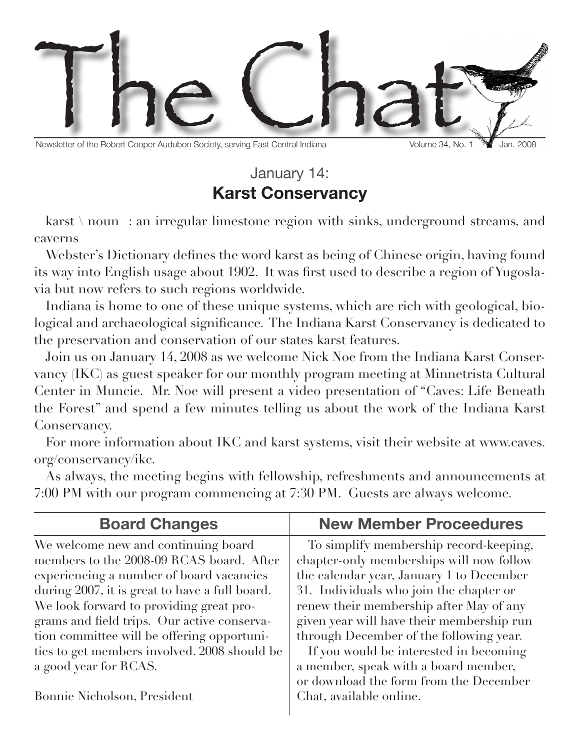

Newsletter of the Robert Cooper Audubon Society, serving East Central Indiana Volume 34, No. 1 <sup>76</sup> Jan. 2008

## January 14: **Karst Conservancy**

karst \ noun : an irregular limestone region with sinks, underground streams, and caverns

Webster's Dictionary defines the word karst as being of Chinese origin, having found its way into English usage about 1902. It was first used to describe a region of Yugoslavia but now refers to such regions worldwide.

Indiana is home to one of these unique systems, which are rich with geological, biological and archaeological significance. The Indiana Karst Conservancy is dedicated to the preservation and conservation of our states karst features.

Join us on January 14, 2008 as we welcome Nick Noe from the Indiana Karst Conservancy (IKC) as guest speaker for our monthly program meeting at Minnetrista Cultural Center in Muncie. Mr. Noe will present a video presentation of "Caves: Life Beneath the Forest" and spend a few minutes telling us about the work of the Indiana Karst Conservancy.

For more information about IKC and karst systems, visit their website at www.caves. org/conservancy/ikc.

As always, the meeting begins with fellowship, refreshments and announcements at 7:00 PM with our program commencing at 7:30 PM. Guests are always welcome.

| <b>Board Changes</b>                                                                                                                                                                                                                                                                                                  | <b>New Member Proceedures</b>                                                                                                                                                                                                                                                                                |  |  |
|-----------------------------------------------------------------------------------------------------------------------------------------------------------------------------------------------------------------------------------------------------------------------------------------------------------------------|--------------------------------------------------------------------------------------------------------------------------------------------------------------------------------------------------------------------------------------------------------------------------------------------------------------|--|--|
| We welcome new and continuing board<br>members to the 2008-09 RCAS board. After<br>experiencing a number of board vacancies<br>during 2007, it is great to have a full board.<br>We look forward to providing great pro-<br>grams and field trips. Our active conserva-<br>tion committee will be offering opportuni- | To simplify membership record-keeping,<br>chapter-only memberships will now follow<br>the calendar year, January 1 to December<br>31. Individuals who join the chapter or<br>renew their membership after May of any<br>given year will have their membership run<br>through December of the following year. |  |  |
| ties to get members involved. 2008 should be<br>a good year for RCAS.                                                                                                                                                                                                                                                 | If you would be interested in becoming<br>a member, speak with a board member,<br>or download the form from the December                                                                                                                                                                                     |  |  |
| Bonnie Nicholson, President                                                                                                                                                                                                                                                                                           | Chat, available online.                                                                                                                                                                                                                                                                                      |  |  |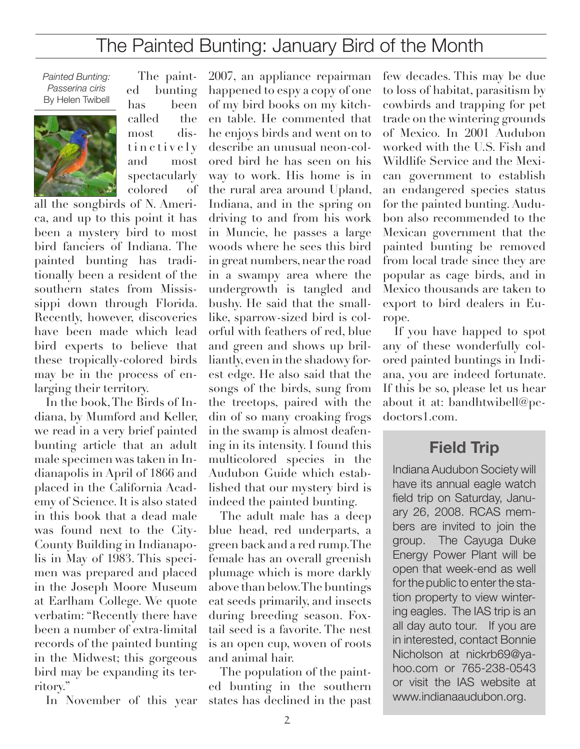## The Painted Bunting: January Bird of the Month

*Painted Bunting: Passerina ciris* By Helen Twibell



The painted bunting has been called the most distin c t i v e l y and most spectacularly colored of

all the songbirds of N. America, and up to this point it has been a mystery bird to most bird fanciers of Indiana. The painted bunting has traditionally been a resident of the southern states from Mississippi down through Florida. Recently, however, discoveries have been made which lead bird experts to believe that these tropically-colored birds may be in the process of enlarging their territory.

In the book, The Birds of Indiana, by Mumford and Keller, we read in a very brief painted bunting article that an adult male specimen was taken in Indianapolis in April of 1866 and placed in the California Academy of Science. It is also stated in this book that a dead male was found next to the City-County Building in Indianapolis in May of 1983. This specimen was prepared and placed in the Joseph Moore Museum at Earlham College. We quote verbatim: "Recently there have been a number of extra-limital records of the painted bunting in the Midwest; this gorgeous bird may be expanding its territory."

In November of this year

2007, an appliance repairman happened to espy a copy of one of my bird books on my kitchen table. He commented that he enjoys birds and went on to describe an unusual neon-colored bird he has seen on his way to work. His home is in the rural area around Upland, Indiana, and in the spring on driving to and from his work in Muncie, he passes a large woods where he sees this bird in great numbers, near the road in a swampy area where the undergrowth is tangled and bushy. He said that the smalllike, sparrow-sized bird is colorful with feathers of red, blue and green and shows up brilliantly, even in the shadowy forest edge. He also said that the songs of the birds, sung from the treetops, paired with the din of so many croaking frogs in the swamp is almost deafening in its intensity. I found this multicolored species in the Audubon Guide which established that our mystery bird is indeed the painted bunting.

The adult male has a deep blue head, red underparts, a green back and a red rump. The female has an overall greenish plumage which is more darkly above than below. The buntings eat seeds primarily, and insects during breeding season. Foxtail seed is a favorite. The nest is an open cup, woven of roots and animal hair.

The population of the painted bunting in the southern states has declined in the past few decades. This may be due to loss of habitat, parasitism by cowbirds and trapping for pet trade on the wintering grounds of Mexico. In 2001 Audubon worked with the U.S. Fish and Wildlife Service and the Mexican government to establish an endangered species status for the painted bunting. Audubon also recommended to the Mexican government that the painted bunting be removed from local trade since they are popular as cage birds, and in Mexico thousands are taken to export to bird dealers in Europe.

If you have happed to spot any of these wonderfully colored painted buntings in Indiana, you are indeed fortunate. If this be so, please let us hear about it at: bandhtwibell@pcdoctors1.com.

### **Field Trip**

Indiana Audubon Society will have its annual eagle watch field trip on Saturday, January 26, 2008. RCAS members are invited to join the group. The Cayuga Duke Energy Power Plant will be open that week-end as well for the public to enter the station property to view wintering eagles. The IAS trip is an all day auto tour. If you are in interested, contact Bonnie Nicholson at nickrb69@yahoo.com or 765-238-0543 or visit the IAS website at www.indianaaudubon.org.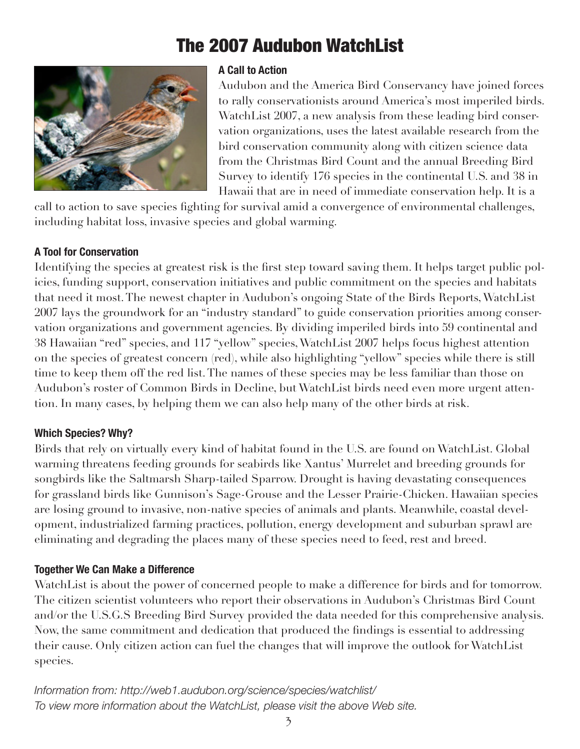# The 2007 Audubon WatchList



#### **A Call to Action**

Audubon and the America Bird Conservancy have joined forces to rally conservationists around America's most imperiled birds. WatchList 2007, a new analysis from these leading bird conservation organizations, uses the latest available research from the bird conservation community along with citizen science data from the Christmas Bird Count and the annual Breeding Bird Survey to identify 176 species in the continental U.S. and 38 in Hawaii that are in need of immediate conservation help. It is a

call to action to save species fighting for survival amid a convergence of environmental challenges, including habitat loss, invasive species and global warming.

#### **A Tool for Conservation**

Identifying the species at greatest risk is the first step toward saving them. It helps target public policies, funding support, conservation initiatives and public commitment on the species and habitats that need it most. The newest chapter in Audubon's ongoing State of the Birds Reports, WatchList 2007 lays the groundwork for an "industry standard" to guide conservation priorities among conservation organizations and government agencies. By dividing imperiled birds into 59 continental and 38 Hawaiian "red" species, and 117 "yellow" species, WatchList 2007 helps focus highest attention on the species of greatest concern (red), while also highlighting "yellow" species while there is still time to keep them off the red list. The names of these species may be less familiar than those on Audubon's roster of Common Birds in Decline, but WatchList birds need even more urgent attention. In many cases, by helping them we can also help many of the other birds at risk.

#### **Which Species? Why?**

Birds that rely on virtually every kind of habitat found in the U.S. are found on WatchList. Global warming threatens feeding grounds for seabirds like Xantus' Murrelet and breeding grounds for songbirds like the Saltmarsh Sharp-tailed Sparrow. Drought is having devastating consequences for grassland birds like Gunnison's Sage-Grouse and the Lesser Prairie-Chicken. Hawaiian species are losing ground to invasive, non-native species of animals and plants. Meanwhile, coastal development, industrialized farming practices, pollution, energy development and suburban sprawl are eliminating and degrading the places many of these species need to feed, rest and breed.

#### **Together We Can Make a Difference**

WatchList is about the power of concerned people to make a difference for birds and for tomorrow. The citizen scientist volunteers who report their observations in Audubon's Christmas Bird Count and/or the U.S.G.S Breeding Bird Survey provided the data needed for this comprehensive analysis. Now, the same commitment and dedication that produced the findings is essential to addressing their cause. Only citizen action can fuel the changes that will improve the outlook for WatchList species.

*Information from: http://web1.audubon.org/science/species/watchlist/ To view more information about the WatchList, please visit the above Web site.*